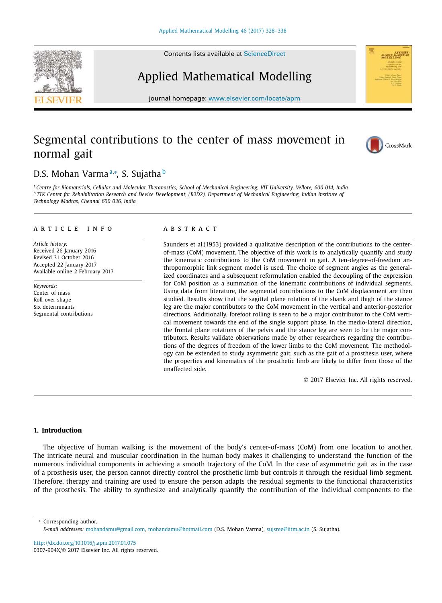Contents lists available at ScienceDirect

# Applied Mathematical Modelling

journal homepage: www.elsevier.com/locate/apm

## Segmental contributions to the center of mass movement in normal gait

## D.S. Mohan Varmaª,\*, S. Sujatha<sup>b</sup>

a Centre for Biomaterials, Cellular and Molecular Theranostics, School of Mechanical Engineering, VIT University, Vellore, 600 014, India <sup>b</sup> TTK Center for Rehabilitation Research and Device Development, (R2D2), Department of Mechanical Engineering, Indian Institute of *Technology Madras, Chennai 600 036, India*

#### a r t i c l e i n f o

*Article history:* Received 26 January 2016 Revised 31 October 2016 Accepted 22 January 2017 Available online 2 February 2017

*Keywords:* Center of mass Roll-over shape Six determinants Segmental contributions

#### a b s t r a c t

Saunders et al.(1953) provided a qualitative description of the contributions to the centerof-mass (CoM) movement. The objective of this work is to analytically quantify and study the kinematic contributions to the CoM movement in gait. A ten-degree-of-freedom anthropomorphic link segment model is used. The choice of segment angles as the generalized coordinates and a subsequent reformulation enabled the decoupling of the expression for CoM position as a summation of the kinematic contributions of individual segments. Using data from literature, the segmental contributions to the CoM displacement are then studied. Results show that the sagittal plane rotation of the shank and thigh of the stance leg are the major contributors to the CoM movement in the vertical and anterior-posterior directions. Additionally, forefoot rolling is seen to be a major contributor to the CoM vertical movement towards the end of the single support phase. In the medio-lateral direction, the frontal plane rotations of the pelvis and the stance leg are seen to be the major contributors. Results validate observations made by other researchers regarding the contributions of the degrees of freedom of the lower limbs to the CoM movement. The methodology can be extended to study asymmetric gait, such as the gait of a prosthesis user, where the properties and kinematics of the prosthetic limb are likely to differ from those of the unaffected side.

© 2017 Elsevier Inc. All rights reserved.

#### **1. Introduction**

The objective of human walking is the movement of the body's center-of-mass (CoM) from one location to another. The intricate neural and muscular coordination in the human body makes it challenging to understand the function of the numerous individual components in achieving a smooth trajectory of the CoM. In the case of asymmetric gait as in the case of a prosthesis user, the person cannot directly control the prosthetic limb but controls it through the residual limb segment. Therefore, therapy and training are used to ensure the person adapts the residual segments to the functional characteristics of the prosthesis. The ability to synthesize and analytically quantify the contribution of the individual components to the

Corresponding author.

http://dx.doi.org/10.1016/j.apm.2017.01.075 0307-904X/© 2017 Elsevier Inc. All rights reserved.







*E-mail addresses:* mohandamu@gmail.com, mohandamu@hotmail.com (D.S. Mohan Varma), sujsree@iitm.ac.in (S. Sujatha).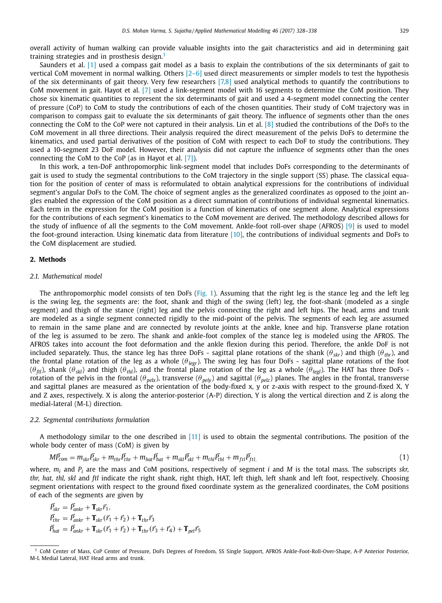overall activity of human walking can provide valuable insights into the gait characteristics and aid in determining gait training strategies and in prosthesis design.<sup>1</sup>

Saunders et al. [1] used a compass gait model as a basis to explain the contributions of the six determinants of gait to vertical CoM movement in normal walking. Others [2–6] used direct measurements or simpler models to test the hypothesis of the six determinants of gait theory. Very few researchers [7,8] used analytical methods to quantify the contributions to CoM movement in gait. Hayot et al. [7] used a link-segment model with 16 segments to determine the CoM position. They chose six kinematic quantities to represent the six determinants of gait and used a 4-segment model connecting the center of pressure (CoP) to CoM to study the contributions of each of the chosen quantities. Their study of CoM trajectory was in comparison to compass gait to evaluate the six determinants of gait theory. The influence of segments other than the ones connecting the CoM to the CoP were not captured in their analysis. Lin et al. [8] studied the contributions of the DoFs to the CoM movement in all three directions. Their analysis required the direct measurement of the pelvis DoFs to determine the kinematics, and used partial derivatives of the position of CoM with respect to each DoF to study the contributions. They used a 10-segment 23 DoF model. However, their analysis did not capture the influence of segments other than the ones connecting the CoM to the CoP (as in Hayot et al. [7]).

In this work, a ten-DoF anthropomorphic link-segment model that includes DoFs corresponding to the determinants of gait is used to study the segmental contributions to the CoM trajectory in the single support (SS) phase. The classical equation for the position of center of mass is reformulated to obtain analytical expressions for the contributions of individual segment's angular DoFs to the CoM. The choice of segment angles as the generalized coordinates as opposed to the joint angles enabled the expression of the CoM position as a direct summation of contributions of individual segmental kinematics. Each term in the expression for the CoM position is a function of kinematics of one segment alone. Analytical expressions for the contributions of each segment's kinematics to the CoM movement are derived. The methodology described allows for the study of influence of all the segments to the CoM movement. Ankle-foot roll-over shape (AFROS) [9] is used to model the foot-ground interaction. Using kinematic data from literature [10], the contributions of individual segments and DoFs to the CoM displacement are studied.

#### **2. Methods**

#### *2.1. Mathematical model*

The anthropomorphic model consists of ten DoFs (Fig. 1). Assuming that the right leg is the stance leg and the left leg is the swing leg, the segments are: the foot, shank and thigh of the swing (left) leg, the foot-shank (modeled as a single segment) and thigh of the stance (right) leg and the pelvis connecting the right and left hips. The head, arms and trunk are modeled as a single segment connected rigidly to the mid-point of the pelvis. The segments of each leg are assumed to remain in the same plane and are connected by revolute joints at the ankle, knee and hip. Transverse plane rotation of the leg is assumed to be zero. The shank and ankle-foot complex of the stance leg is modeled using the AFROS. The AFROS takes into account the foot deformation and the ankle flexion during this period. Therefore, the ankle DoF is not included separately. Thus, the stance leg has three DoFs - sagittal plane rotations of the shank (θ*skr*) and thigh (θ*thr*), and the frontal plane rotation of the leg as a whole (θ*legr*). The swing leg has four DoFs - sagittal plane rotations of the foot (θ*ftl*), shank (θ*skl*) and thigh (θ*thl*), and the frontal plane rotation of the leg as a whole (θ*legl*). The HAT has three DoFs rotation of the pelvis in the frontal ( $\theta_{pek}$ ), transverse ( $\theta_{pelv}$ ) and sagittal ( $\theta_{pe/z}$ ) planes. The angles in the frontal, transverse and sagittal planes are measured as the orientation of the body-fixed x, y or z-axis with respect to the ground-fixed X, Y and Z axes, respectively. X is along the anterior-posterior (A-P) direction, Y is along the vertical direction and Z is along the medial-lateral (M-L) direction.

#### *2.2. Segmental contributions formulation*

A methodology similar to the one described in [11] is used to obtain the segmental contributions. The position of the whole body center of mass (CoM) is given by

$$
M\vec{P}_{com} = m_{skr}\vec{P}_{skr} + m_{thr}\vec{P}_{thr} + m_{hat}\vec{P}_{hat} + m_{skl}\vec{P}_{skl} + m_{thl}\vec{P}_{thl} + m_{ftl}\vec{P}_{ftl},
$$
\n(1)

where, *m<sup>i</sup>* and *P<sup>i</sup>* are the mass and CoM positions, respectively of segment *i* and *M* is the total mass. The subscripts *skr, thr, hat, thl, skl* and *ftl* indicate the right shank, right thigh, HAT, left thigh, left shank and left foot, respectively. Choosing segment orientations with respect to the ground fixed coordinate system as the generalized coordinates, the CoM positions of each of the segments are given by

$$
\begin{aligned}\n\vec{P}_{skr} &= \vec{P}_{ankr} + \mathbf{T}_{skr}\vec{r}_1, \\
\vec{P}_{thrr} &= \vec{P}_{ankr} + \mathbf{T}_{skr}(\vec{r}_1 + \vec{r}_2) + \mathbf{T}_{thr}\vec{r}_3 \\
\vec{P}_{hat} &= \vec{P}_{ankr} + \mathbf{T}_{skr}(\vec{r}_1 + \vec{r}_2) + \mathbf{T}_{thr}(\vec{r}_3 + \vec{r}_4) + \mathbf{T}_{pel}\vec{r}_5\n\end{aligned}
$$

<sup>&</sup>lt;sup>1</sup> CoM Center of Mass, CoP Center of Pressure, DoFs Degrees of Freedom, SS Single Support, AFROS Ankle-Foot-Roll-Over-Shape, A-P Anterior Posterior, M-L Medial Lateral, HAT Head arms and trunk.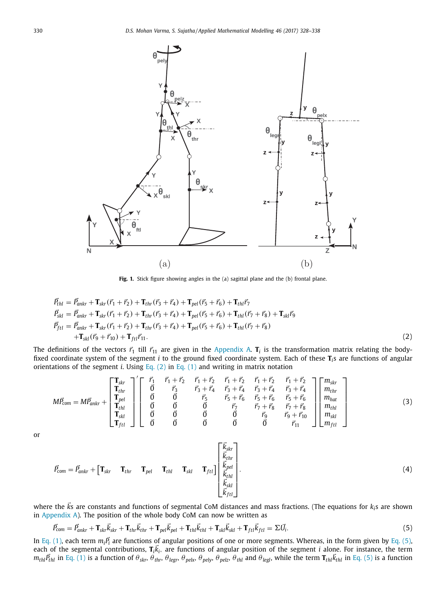

**Fig. 1.** Stick figure showing angles in the (a) sagittal plane and the (b) frontal plane.

$$
\vec{P}_{thl} = \vec{P}_{ankr} + \mathbf{T}_{skr}(\vec{r}_1 + \vec{r}_2) + \mathbf{T}_{thr}(\vec{r}_3 + \vec{r}_4) + \mathbf{T}_{pel}(\vec{r}_5 + \vec{r}_6) + \mathbf{T}_{thl}\vec{r}_7 \n\vec{P}_{skl} = \vec{P}_{ankr} + \mathbf{T}_{skr}(\vec{r}_1 + \vec{r}_2) + \mathbf{T}_{thr}(\vec{r}_3 + \vec{r}_4) + \mathbf{T}_{pel}(\vec{r}_5 + \vec{r}_6) + \mathbf{T}_{thl}(\vec{r}_7 + \vec{r}_8) + \mathbf{T}_{skl}\vec{r}_9 \n\vec{P}_{ftl} = \vec{P}_{ankr} + \mathbf{T}_{skr}(\vec{r}_1 + \vec{r}_2) + \mathbf{T}_{thr}(\vec{r}_3 + \vec{r}_4) + \mathbf{T}_{pel}(\vec{r}_5 + \vec{r}_6) + \mathbf{T}_{thl}(\vec{r}_7 + \vec{r}_8) \n+ \mathbf{T}_{skl}(\vec{r}_9 + \vec{r}_{10}) + \mathbf{T}_{ftl}\vec{r}_{11}.
$$
\n(2)

The definitions of the vectors  $\vec{r}_1$  till  $\vec{r}_{11}$  are given in the Appendix A.  $\bf{T}_i$  is the transformation matrix relating the bodyfixed coordinate system of the segment *i* to the ground fixed coordinate system. Each of these **T***<sup>i</sup>* s are functions of angular orientations of the segment *i*. Using Eq. (2) in Eq. (1) and writing in matrix notation

$$
M\vec{P}_{com} = M\vec{P}_{ankr} + \begin{bmatrix} \mathbf{T}_{str} \\ \mathbf{T}_{thr} \\ \mathbf{T}_{pt} \\ \mathbf{T}_{stl} \\ \mathbf{T}_{ftl} \end{bmatrix}^{\prime} \begin{bmatrix} \vec{r}_{1} & \vec{r}_{1} + \vec{r}_{2} & \vec{r}_{1} + \vec{r}_{2} & \vec{r}_{1} + \vec{r}_{2} & \vec{r}_{1} + \vec{r}_{2} & \vec{r}_{1} + \vec{r}_{2} \\ \vec{0} & \vec{r}_{3} & \vec{r}_{3} + \vec{r}_{4} & \vec{r}_{3} + \vec{r}_{4} & \vec{r}_{3} + \vec{r}_{4} & \vec{r}_{3} + \vec{r}_{4} \\ \vec{0} & \vec{0} & \vec{r}_{5} & \vec{r}_{5} + \vec{r}_{6} & \vec{r}_{5} + \vec{r}_{6} & \vec{r}_{5} + \vec{r}_{6} \\ \vec{0} & \vec{0} & \vec{0} & \vec{r}_{7} & \vec{r}_{7} + \vec{r}_{8} & \vec{r}_{7} + \vec{r}_{8} \\ \vec{0} & \vec{0} & \vec{0} & \vec{0} & \vec{r}_{9} & \vec{r}_{9} + \vec{r}_{10} \\ \vec{0} & \vec{0} & \vec{0} & \vec{0} & \vec{0} & \vec{r}_{11} \end{bmatrix} \begin{bmatrix} m_{skr} \\ m_{thr} \\ m_{hrt} \\ m_{shr} \\ m_{sk} \\ m_{ftl} \\ m_{ftl} \end{bmatrix}
$$
(3)

or

$$
\vec{P}_{com} = \vec{P}_{ankr} + \begin{bmatrix} \mathbf{T}_{skr} & \mathbf{T}_{thr} & \mathbf{T}_{pel} & \mathbf{T}_{thl} & \mathbf{T}_{skl} & \mathbf{T}_{ftl} \end{bmatrix} \begin{bmatrix} \vec{k}_{skr} \\ \vec{k}_{thr} \\ \vec{k}_{pel} \\ \vec{k}_{jkl} \\ \vec{k}_{jkl} \\ \vec{k}_{ftl} \end{bmatrix} .
$$
 (4)

where the  $\vec{k}$ s are constants and functions of segmental CoM distances and mass fractions. (The equations for  $k_i$ s are shown in Appendix A). The position of the whole body CoM can now be written as

$$
\vec{P}_{com} = \vec{P}_{ankr} + \mathbf{T}_{skr}\vec{k}_{skr} + \mathbf{T}_{thr}\vec{k}_{thr} + \mathbf{T}_{pel}\vec{k}_{pel} + \mathbf{T}_{thl}\vec{k}_{thl} + \mathbf{T}_{skl}\vec{k}_{skl} + \mathbf{T}_{ftl}\vec{k}_{ftl} = \Sigma \vec{U}_i.
$$
\n(5)

In Eq. (1), each term  $m_i\vec{P_i}$  are functions of angular positions of one or more segments. Whereas, in the form given by Eq. (5), each of the segmental contributions,  $T_i \vec{k}_i$ , are functions of angular position of the segment *i* alone. For instance, the term  $m_{th}P_{th}$  in Eq. (1) is a function of  $\theta_{skr}$ ,  $\theta_{ther}$ ,  $\theta_{legr}$ ,  $\theta_{pelx}$ ,  $\theta_{pely}$ ,  $\theta_{pelz}$ ,  $\theta_{th}$  and  $\theta_{legl}$ , while the term  $\mathbf{T}_{thl}\vec{k}_{thl}$  in Eq. (5) is a function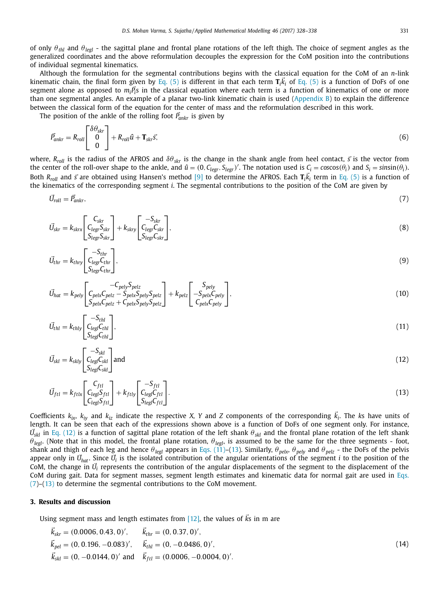of only  $\theta_{thl}$  and  $\theta_{legl}$  - the sagittal plane and frontal plane rotations of the left thigh. The choice of segment angles as the generalized coordinates and the above reformulation decouples the expression for the CoM position into the contributions of individual segmental kinematics.

Although the formulation for the segmental contributions begins with the classical equation for the CoM of an *n*-link kinematic chain, the final form given by Eq. (5) is different in that each term  $T_i \vec{k}_i$  of Eq. (5) is a function of DoFs of one segment alone as opposed to  $m_i\vec{P}_i$ s in the classical equation where each term is a function of kinematics of one or more than one segmental angles. An example of a planar two-link kinematic chain is used (Appendix B) to explain the difference between the classical form of the equation for the center of mass and the reformulation described in this work.

The position of the ankle of the rolling foot  $\vec{P}_{ankr}$  is given by

$$
\vec{P}_{ankr} = R_{roll} \begin{bmatrix} \delta \theta_{skr} \\ 0 \\ 0 \end{bmatrix} + R_{roll} \hat{u} + \mathbf{T}_{skr} \vec{s}, \tag{6}
$$

where,  $R_{roll}$  is the radius of the AFROS and  $\delta\theta_{skr}$  is the change in the shank angle from heel contact,  $\vec{s}$  is the vector from the center of the roll-over shape to the ankle, and  $\hat{u} = (0, C_{legr}, S_{legr})'$ . The notation used is  $C_i = \cos(\theta_i)$  and  $S_i = \sin(\theta_i)$ . Both  $R_{roll}$  and  $\vec{s}$  are obtained using Hansen's method [9] to determine the AFROS. Each  $T_i\vec{k}_i$  term in Eq. (5) is a function of the kinematics of the corresponding segment *i*. The segmental contributions to the position of the CoM are given by

$$
\vec{U}_{roll} = \vec{P}_{ankr},\tag{7}
$$

$$
\vec{U}_{skr} = k_{skrx} \begin{bmatrix} C_{skr} \\ C_{legr} S_{skr} \\ S_{legr} S_{skr} \end{bmatrix} + k_{skry} \begin{bmatrix} -S_{skr} \\ C_{legr} C_{skr} \\ S_{legr} C_{skr} \end{bmatrix},\tag{8}
$$

$$
\vec{U}_{thr} = k_{thry} \begin{bmatrix} -S_{thr} \\ C_{legr}C_{thr} \\ S_{legr}C_{thr} \end{bmatrix},\tag{9}
$$

$$
\vec{U}_{hat} = k_{\text{pely}} \left[ \begin{array}{c} -C_{\text{pely}} S_{\text{pelz}} \\ C_{\text{pelx}} C_{\text{pelz}} - S_{\text{pelx}} S_{\text{pely}} S_{\text{pelz}} \\ S_{\text{pelx}} C_{\text{pelz}} + C_{\text{pelx}} S_{\text{pely}} S_{\text{pelz}} \end{array} \right] + k_{\text{pelz}} \left[ \begin{array}{c} S_{\text{pely}} \\ -S_{\text{pelx}} C_{\text{pely}} \\ C_{\text{pelx}} C_{\text{pely}} \end{array} \right],
$$
\n(10)

$$
\vec{U}_{thl} = k_{thly} \begin{bmatrix} -S_{thl} \\ C_{legl}C_{thl} \\ S_{legl}C_{thl} \end{bmatrix},\tag{11}
$$

$$
\vec{U}_{skl} = k_{skly} \begin{bmatrix} -S_{skl} \\ C_{legl}C_{skl} \\ S_{legl}C_{skl} \end{bmatrix} \text{and} \tag{12}
$$

$$
\vec{U}_{ftl} = k_{ftl} \begin{bmatrix} C_{ftl} \\ C_{legl} S_{ftl} \\ C_{legl} S_{ftl} \end{bmatrix} + k_{ftly} \begin{bmatrix} -S_{ftl} \\ C_{legl} C_{ftl} \\ S_{legl} C_{ftl} \end{bmatrix} . \tag{13}
$$

Coefficients  $k_{ix}$ ,  $k_{iy}$  and  $k_{iz}$  indicate the respective *X*, *Y* and *Z* components of the corresponding  $\vec{k}_i$ . The *ks* have units of length. It can be seen that each of the expressions shown above is a function of DoFs of one segment only. For instance, *U*- *skl* in Eq. (12) is a function of sagittal plane rotation of the left shank θ*skl* and the frontal plane rotation of the left shank  $\theta_{\text{legl}}$ . (Note that in this model, the frontal plane rotation,  $\theta_{\text{legl}}$ , is assumed to be the same for the three segments - foot, shank and thigh of each leg and hence  $\theta_{\text{legl}}$  appears in Eqs. (11)–(13). Similarly,  $\theta_{\text{pek}}$ ,  $\theta_{\text{pely}}$  and  $\theta_{\text{pelz}}$  - the DoFs of the pelvis appear only in  $\vec{U}_{hat}$ . Since  $\vec{U}_i$  is the isolated contribution of the angular orientations of the segment *i* to the position of the  $\hat{C}$  com, the change in  $\vec{U}_i$  represents the contribution of the angular displacements of the segment to the displacement of the CoM during gait. Data for segment masses, segment length estimates and kinematic data for normal gait are used in Eqs. (7)–(13) to determine the segmental contributions to the CoM movement.

#### **3. Results and discussion**

Using segment mass and length estimates from  $[12]$ , the values of  $\vec{k}$ s in m are

$$
\vec{k}_{skr} = (0.0006, 0.43, 0)', \quad \vec{k}_{thr} = (0, 0.37, 0)', \n\vec{k}_{pel} = (0, 0.196, -0.083)', \quad \vec{k}_{thl} = (0, -0.0486, 0)', \n\vec{k}_{skl} = (0, -0.0144, 0)' \text{ and } \vec{k}_{ftl} = (0.0006, -0.0004, 0)'. \tag{14}
$$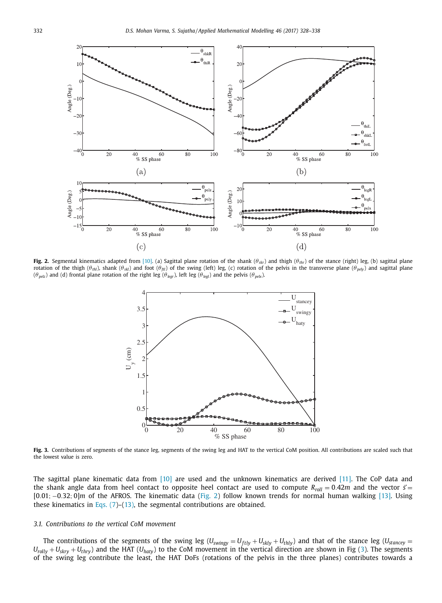

**Fig. 2.** Segmental kinematics adapted from [10]. (a) Sagittal plane rotation of the shank (θ*skr*) and thigh (θ*thr*) of the stance (right) leg, (b) sagittal plane rotation of the thigh ( $\theta_{th}$ ), shank ( $\theta_{sk}$ ) and foot ( $\theta_{ft}$ ) of the swing (left) leg, (c) rotation of the pelvis in the transverse plane ( $\theta_{pet}$ ) and sagittal plane  $(\theta_{\text{pelz}})$  and (d) frontal plane rotation of the right leg  $(\theta_{\text{legr}})$ , left leg  $(\theta_{\text{legl}})$  and the pelvis  $(\theta_{\text{pelx}})$ .



**Fig. 3.** Contributions of segments of the stance leg, segments of the swing leg and HAT to the vertical CoM position. All contributions are scaled such that the lowest value is zero.

The sagittal plane kinematic data from [10] are used and the unknown kinematics are derived [11]. The CoP data and the shank angle data from heel contact to opposite heel contact are used to compute  $R_{roll} = 0.42m$  and the vector  $\vec{s} =$ [0.01; −0.32; 0]*m* of the AFROS. The kinematic data (Fig. 2) follow known trends for normal human walking [13]. Using these kinematics in Eqs.  $(7)$ – $(13)$ , the segmental contributions are obtained.

#### *3.1. Contributions to the vertical CoM movement*

The contributions of the segments of the swing leg ( $U_{\textit{swingy}} = U_{ftly} + U_{\textit{skyy}} + U_{thly}$ ) and that of the stance leg ( $U_{\textit{stancey}} = U_{\textit{g}}$  $U_{rolly} + U_{skyy} + U_{thry}$ ) and the HAT ( $U_{haly}$ ) to the CoM movement in the vertical direction are shown in Fig (3). The segments of the swing leg contribute the least, the HAT DoFs (rotations of the pelvis in the three planes) contributes towards a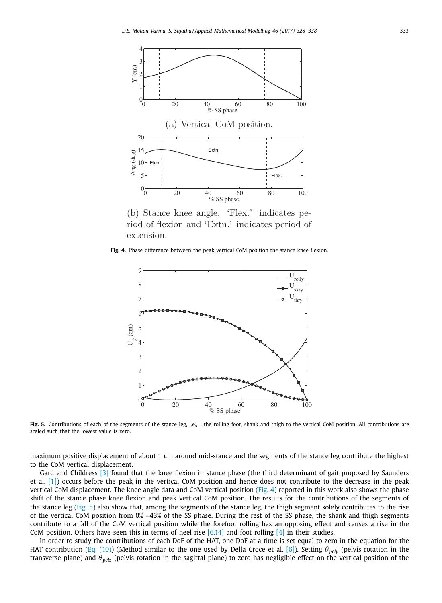

(b) Stance knee angle. 'Flex.' indicates period of flexion and 'Extn.' indicates period of extension.

**Fig. 4.** Phase difference between the peak vertical CoM position the stance knee flexion.



Fig. 5. Contributions of each of the segments of the stance leg, i.e., - the rolling foot, shank and thigh to the vertical CoM position. All contributions are scaled such that the lowest value is zero.

maximum positive displacement of about 1 cm around mid-stance and the segments of the stance leg contribute the highest to the CoM vertical displacement.

Gard and Childress [3] found that the knee flexion in stance phase (the third determinant of gait proposed by Saunders et al. [1]) occurs before the peak in the vertical CoM position and hence does not contribute to the decrease in the peak vertical CoM displacement. The knee angle data and CoM vertical position (Fig. 4) reported in this work also shows the phase shift of the stance phase knee flexion and peak vertical CoM position. The results for the contributions of the segments of the stance leg (Fig. 5) also show that, among the segments of the stance leg, the thigh segment solely contributes to the rise of the vertical CoM position from 0% –43% of the SS phase. During the rest of the SS phase, the shank and thigh segments contribute to a fall of the CoM vertical position while the forefoot rolling has an opposing effect and causes a rise in the CoM position. Others have seen this in terms of heel rise  $[6,14]$  and foot rolling  $[4]$  in their studies.

In order to study the contributions of each DoF of the HAT, one DoF at a time is set equal to zero in the equation for the HAT contribution (Eq. (10)) (Method similar to the one used by Della Croce et al. [6]). Setting θ<sub>pely</sub> (pelvis rotation in the transverse plane) and θ<sub>pelz</sub> (pelvis rotation in the sagittal plane) to zero has negligible effect on the vertical position of the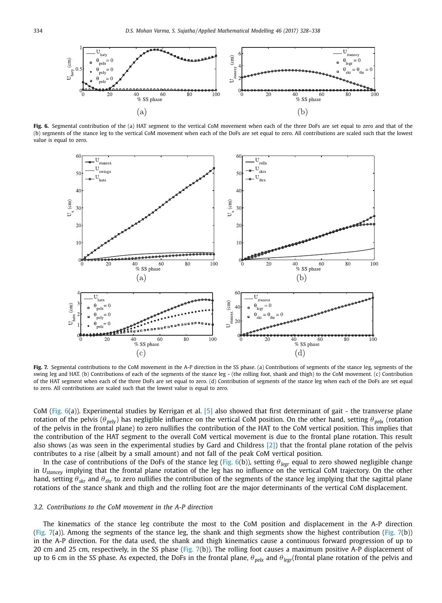

Fig. 6. Segmental contribution of the (a) HAT segment to the vertical CoM movement when each of the three DoFs are set equal to zero and that of the (b) segments of the stance leg to the vertical CoM movement when each of the DoFs are set equal to zero. All contributions are scaled such that the lowest value is equal to zero.



Fig. 7. Segmental contributions to the CoM movement in the A-P direction in the SS phase. (a) Contributions of segments of the stance leg, segments of the swing leg and HAT. (b) Contributions of each of the segments of the stance leg - (the rolling foot, shank and thigh) to the CoM movement. (c) Contribution of the HAT segment when each of the three DoFs are set equal to zero. (d) Contribution of segments of the stance leg when each of the DoFs are set equal to zero. All contributions are scaled such that the lowest value is equal to zero.

CoM (Fig.  $6(a)$ ). Experimental studies by Kerrigan et al. [5] also showed that first determinant of gait - the transverse plane rotation of the pelvis ( $\theta_{\text{pelv}}$ ) has negligible influence on the vertical CoM position. On the other hand, setting  $\theta_{\text{pelx}}$  (rotation of the pelvis in the frontal plane) to zero nullifies the contribution of the HAT to the CoM vertical position. This implies that the contribution of the HAT segment to the overall CoM vertical movement is due to the frontal plane rotation. This result also shows (as was seen in the experimental studies by Gard and Childress  $[2]$ ) that the frontal plane rotation of the pelvis contributes to a rise (albeit by a small amount) and not fall of the peak CoM vertical position.

In the case of contributions of the DoFs of the stance leg (Fig. 6(b)), setting θ*legr* equal to zero showed negligible change in *Ustancey* implying that the frontal plane rotation of the leg has no influence on the vertical CoM trajectory. On the other hand, setting θ*skr* and θ*thr* to zero nullifies the contribution of the segments of the stance leg implying that the sagittal plane rotations of the stance shank and thigh and the rolling foot are the major determinants of the vertical CoM displacement.

#### *3.2. Contributions to the CoM movement in the A-P direction*

The kinematics of the stance leg contribute the most to the CoM position and displacement in the A-P direction (Fig. 7(a)). Among the segments of the stance leg, the shank and thigh segments show the highest contribution (Fig. 7(b)) in the A-P direction. For the data used, the shank and thigh kinematics cause a continuous forward progression of up to 20 cm and 25 cm, respectively, in the SS phase (Fig. 7(b)). The rolling foot causes a maximum positive A-P displacement of up to 6 cm in the SS phase. As expected, the DoFs in the frontal plane,  $\theta_{\text{peak}}$  and  $\theta_{\text{legr}}$ (frontal plane rotation of the pelvis and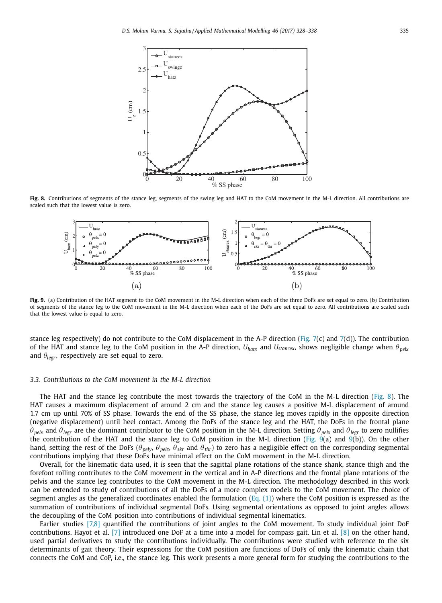

**Fig. 8.** Contributions of segments of the stance leg, segments of the swing leg and HAT to the CoM movement in the M-L direction. All contributions are scaled such that the lowest value is zero.



**Fig. 9.** (a) Contribution of the HAT segment to the CoM movement in the M-L direction when each of the three DoFs are set equal to zero. (b) Contribution of segments of the stance leg to the CoM movement in the M-L direction when each of the DoFs are set equal to zero. All contributions are scaled such that the lowest value is equal to zero.

stance leg respectively) do not contribute to the CoM displacement in the A-P direction (Fig. 7(c) and 7(d)). The contribution of the HAT and stance leg to the CoM position in the A-P direction,  $U_{\text{hadr}}$  and  $U_{\text{stance}}$ , shows negligible change when  $\theta_{\text{pek}}$ and  $\theta_{\text{legr}}$ , respectively are set equal to zero.

#### *3.3. Contributions to the CoM movement in the M-L direction*

The HAT and the stance leg contribute the most towards the trajectory of the CoM in the M-L direction (Fig. 8). The HAT causes a maximum displacement of around 2 cm and the stance leg causes a positive M-L displacement of around 1.7 cm up until 70% of SS phase. Towards the end of the SS phase, the stance leg moves rapidly in the opposite direction (negative displacement) until heel contact. Among the DoFs of the stance leg and the HAT, the DoFs in the frontal plane  $\theta_{\text{pek}}$  and  $\theta_{\text{legr}}$  are the dominant contributor to the CoM position in the M-L direction. Setting  $\theta_{\text{pek}}$  and  $\theta_{\text{legr}}$  to zero nullifies the contribution of the HAT and the stance leg to CoM position in the M-L direction (Fig.  $\hat{9}(a)$  and  $\hat{9}(b)$ ). On the other hand, setting the rest of the DoFs ( $\theta_{\text{pely}}$ ,  $\theta_{\text{pelz}}$ ,  $\theta_{\text{skr}}$  and  $\theta_{\text{thr}}$ ) to zero has a negligible effect on the corresponding segmental contributions implying that these DoFs have minimal effect on the CoM movement in the M-L direction.

Overall, for the kinematic data used, it is seen that the sagittal plane rotations of the stance shank, stance thigh and the forefoot rolling contributes to the CoM movement in the vertical and in A-P directions and the frontal plane rotations of the pelvis and the stance leg contributes to the CoM movement in the M-L direction. The methodology described in this work can be extended to study of contributions of all the DoFs of a more complex models to the CoM movement. The choice of segment angles as the generalized coordinates enabled the formulation (Eq.  $(1)$ ) where the CoM position is expressed as the summation of contributions of individual segmental DoFs. Using segmental orientations as opposed to joint angles allows the decoupling of the CoM position into contributions of individual segmental kinematics.

Earlier studies [7,8] quantified the contributions of joint angles to the CoM movement. To study individual joint DoF contributions, Hayot et al. [7] introduced one DoF at a time into a model for compass gait. Lin et al. [8] on the other hand, used partial derivatives to study the contributions individually. The contributions were studied with reference to the six determinants of gait theory. Their expressions for the CoM position are functions of DoFs of only the kinematic chain that connects the CoM and CoP, i.e., the stance leg. This work presents a more general form for studying the contributions to the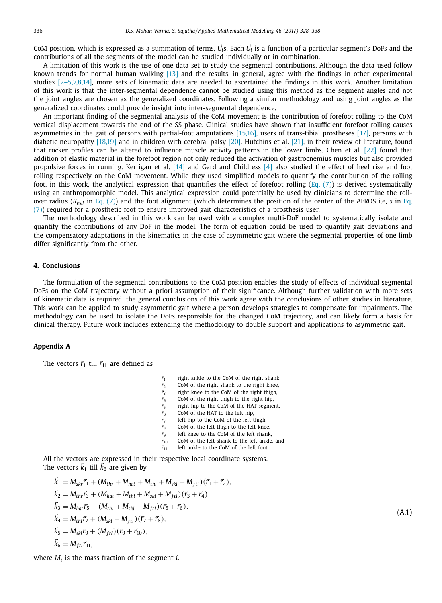CoM position, which is expressed as a summation of terms,  $\vec{U_i}$ s. Each  $\vec{U_i}$  is a function of a particular segment's DoFs and the contributions of all the segments of the model can be studied individually or in combination.

A limitation of this work is the use of one data set to study the segmental contributions. Although the data used follow known trends for normal human walking [13] and the results, in general, agree with the findings in other experimental studies [2–5,7,8,14], more sets of kinematic data are needed to ascertained the findings in this work. Another limitation of this work is that the inter-segmental dependence cannot be studied using this method as the segment angles and not the joint angles are chosen as the generalized coordinates. Following a similar methodology and using joint angles as the generalized coordinates could provide insight into inter-segmental dependence.

An important finding of the segmental analysis of the CoM movement is the contribution of forefoot rolling to the CoM vertical displacement towards the end of the SS phase. Clinical studies have shown that insufficient forefoot rolling causes asymmetries in the gait of persons with partial-foot amputations [15,16], users of trans-tibial prostheses [17], persons with diabetic neuropathy [18,19] and in children with cerebral palsy [20]. Hutchins et al. [21], in their review of literature, found that rocker profiles can be altered to influence muscle activity patterns in the lower limbs. Chen et al. [22] found that addition of elastic material in the forefoot region not only reduced the activation of gastrocnemius muscles but also provided propulsive forces in running. Kerrigan et al. [14] and Gard and Childress [4] also studied the effect of heel rise and foot rolling respectively on the CoM movement. While they used simplified models to quantify the contribution of the rolling foot, in this work, the analytical expression that quantifies the effect of forefoot rolling (Eq.  $(7)$ ) is derived systematically using an anthropomorphic model. This analytical expression could potentially be used by clinicians to determine the rollover radius (R<sub>roll</sub> in Eq. (7)) and the foot alignment (which determines the position of the center of the AFROS i.e,  $\vec{s}$  in Eq. (7)) required for a prosthetic foot to ensure improved gait characteristics of a prosthesis user.

The methodology described in this work can be used with a complex multi-DoF model to systematically isolate and quantify the contributions of any DoF in the model. The form of equation could be used to quantify gait deviations and the compensatory adaptations in the kinematics in the case of asymmetric gait where the segmental properties of one limb differ significantly from the other.

#### **4. Conclusions**

The formulation of the segmental contributions to the CoM position enables the study of effects of individual segmental DoFs on the CoM trajectory without a priori assumption of their significance. Although further validation with more sets of kinematic data is required, the general conclusions of this work agree with the conclusions of other studies in literature. This work can be applied to study asymmetric gait where a person develops strategies to compensate for impairments. The methodology can be used to isolate the DoFs responsible for the changed CoM trajectory, and can likely form a basis for clinical therapy. Future work includes extending the methodology to double support and applications to asymmetric gait.

#### **Appendix A**

The vectors  $\vec{r}_1$  till  $\vec{r}_{11}$  are defined as

- $\vec{r}_1$ right ankle to the CoM of the right shank,
- $\vec{r}_2$ CoM of the right shank to the right knee,
- $\vec{r}_3$ right knee to the CoM of the right thigh,
- $\vec{r}_4$ CoM of the right thigh to the right hip,
- $\vec{r}_5$ right hip to the CoM of the HAT segment,
- $\vec{r}_6$ CoM of the HAT to the left hip,
- $\vec{r}_7$ left hip to the CoM of the left thigh,
- $\vec{r}_8$ CoM of the left thigh to the left knee,
- $\vec{r}_9$ left knee to the CoM of the left shank,
- $\vec{r}_{10}$ CoM of the left shank to the left ankle, and
- $\vec{r}_{11}$ left ankle to the CoM of the left foot.

All the vectors are expressed in their respective local coordinate systems. The vectors  $\vec{k}_1$  till  $\vec{k}_6$  are given by

$$
\vec{k}_1 = M_{skr}\vec{r}_1 + (M_{thr} + M_{hat} + M_{thl} + M_{skl} + M_{ftl})(\vec{r}_1 + \vec{r}_2),
$$
\n
$$
\vec{k}_2 = M_{thr}\vec{r}_3 + (M_{hat} + M_{thl} + M_{skl} + M_{ftl})(\vec{r}_3 + \vec{r}_4),
$$
\n
$$
\vec{k}_3 = M_{hat}\vec{r}_5 + (M_{thl} + M_{skl} + M_{ftl})(\vec{r}_5 + \vec{r}_6),
$$
\n
$$
\vec{k}_4 = M_{thl}\vec{r}_7 + (M_{skl} + M_{ftl})(\vec{r}_7 + \vec{r}_8),
$$
\n
$$
\vec{k}_5 = M_{skl}\vec{r}_9 + (M_{ftl})(\vec{r}_9 + \vec{r}_{10}),
$$
\n
$$
\vec{k}_6 = M_{ftl}\vec{r}_{11},
$$
\n(A.1)

where *M<sup>i</sup>* is the mass fraction of the segment *i*.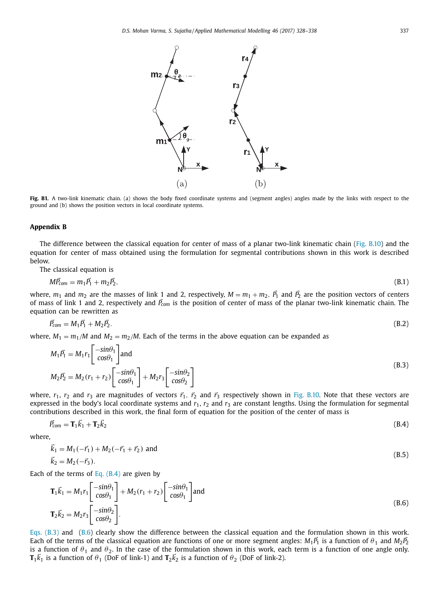

**Fig. B1.** A two-link kinematic chain. (a) shows the body fixed coordinate systems and (segment angles) angles made by the links with respect to the ground and (b) shows the position vectors in local coordinate systems.

#### **Appendix B**

The difference between the classical equation for center of mass of a planar two-link kinematic chain (Fig. B.10) and the equation for center of mass obtained using the formulation for segmental contributions shown in this work is described below.

The classical equation is

$$
M\vec{P}_{com} = m_1\vec{P}_1 + m_2\vec{P}_2, \tag{B.1}
$$

where,  $m_1$  and  $m_2$  are the masses of link 1 and 2, respectively,  $M = m_1 + m_2$ ,  $\vec{P}_1$  and  $\vec{P}_2$  are the position vectors of centers of mass of link 1 and 2, respectively and  $\vec{P}_{com}$  is the position of center of mass of the planar two-link kinematic chain. The equation can be rewritten as

$$
\vec{P}_{com} = M_1 \vec{P}_1 + M_2 \vec{P}_2. \tag{B.2}
$$

where,  $M_1 = m_1/M$  and  $M_2 = m_2/M$ . Each of the terms in the above equation can be expanded as

$$
M_1 \vec{P_1} = M_1 r_1 \begin{bmatrix} -\sin\theta_1 \\ \cos\theta_1 \end{bmatrix}
$$
 and  

$$
M_2 \vec{P_2} = M_2 (r_1 + r_2) \begin{bmatrix} -\sin\theta_1 \\ \cos\theta_1 \end{bmatrix} + M_2 r_3 \begin{bmatrix} -\sin\theta_2 \\ \cos\theta_2 \end{bmatrix}
$$
 (B.3)

where,  $r_1$ ,  $r_2$  and  $r_3$  are magnitudes of vectors  $\vec{r}_1$ ,  $\vec{r}_2$  and  $\vec{r}_3$  respectively shown in Fig. B.10. Note that these vectors are expressed in the body's local coordinate systems and  $r_1$ ,  $r_2$  and  $r_3$  are constant lengths. Using the formulation for segmental contributions described in this work, the final form of equation for the position of the center of mass is

$$
\vec{P}_{com} = \mathbf{T}_1 \vec{k}_1 + \mathbf{T}_2 \vec{k}_2 \tag{B.4}
$$

where,

$$
\vec{k}_1 = M_1(-\vec{r}_1) + M_2(-\vec{r}_1 + \vec{r}_2) \text{ and}
$$
\n
$$
\vec{k}_2 = M_2(-\vec{r}_3).
$$
\n(B.5)

Each of the terms of Eq.  $(B.4)$  are given by

$$
\mathbf{T}_1 \vec{k}_1 = M_1 r_1 \begin{bmatrix} -\sin\theta_1 \\ \cos\theta_1 \end{bmatrix} + M_2 (r_1 + r_2) \begin{bmatrix} -\sin\theta_1 \\ \cos\theta_1 \end{bmatrix}
$$
 and  
\n
$$
\mathbf{T}_2 \vec{k}_2 = M_2 r_3 \begin{bmatrix} -\sin\theta_2 \\ \cos\theta_2 \end{bmatrix}.
$$
 (B.6)

Eqs. (B.3) and (B.6) clearly show the difference between the classical equation and the formulation shown in this work. Each of the terms of the classical equation are functions of one or more segment angles:  $M_1\vec{P}_1$  is a function of  $\theta_1$  and  $M_2\vec{P}_2$ is a function of  $\theta_1$  and  $\theta_2$ . In the case of the formulation shown in this work, each term is a function of one angle only. **T**<sub>1</sub> $\vec{k}_1$  is a function of  $\theta_1$  (DoF of link-1) and **T**<sub>2</sub> $\vec{k}_2$  is a function of  $\theta_2$  (DoF of link-2).